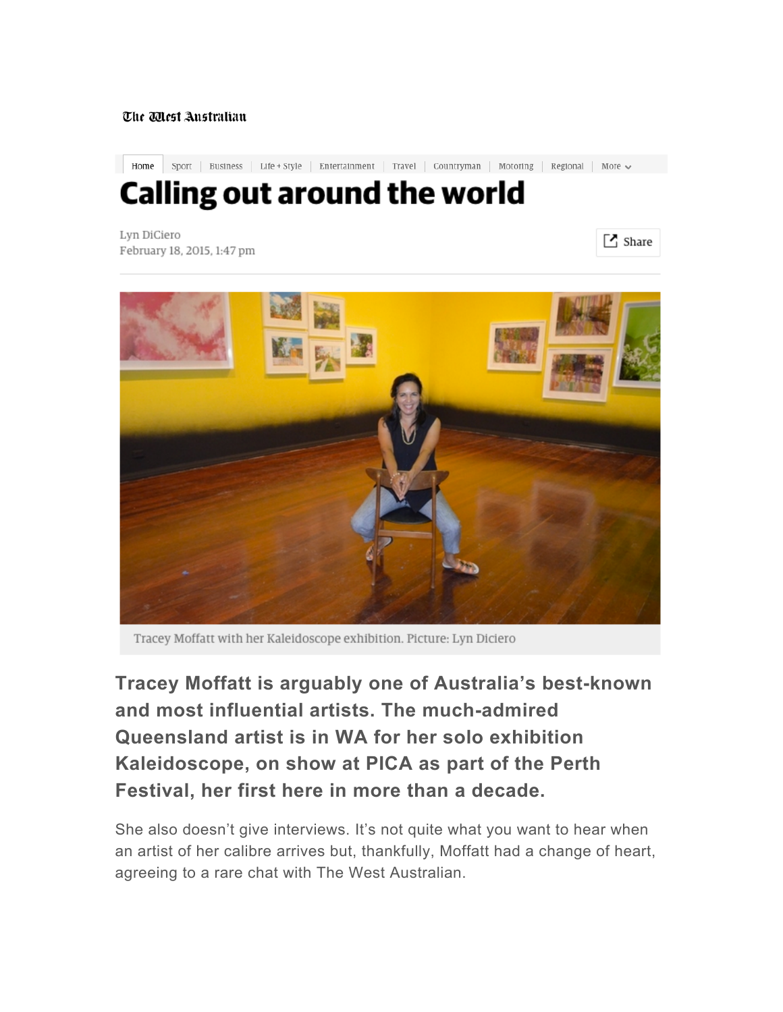## The Mest Anstralian

Home Sport | Business | Life + Style | Entertainment | Travel | Countryman | Motoring | Regional | More  $\sim$ 

## **Calling out around the world**

Lyn DiCiero February 18, 2015, 1:47 pm

 $\lceil$  Share



Tracey Moffatt with her Kaleidoscope exhibition. Picture: Lyn Diciero

**Tracey Moffatt is arguably one of Australia's best-known and most influential artists. The much-admired Queensland artist is in WA for her solo exhibition Kaleidoscope, on show at PICA as part of the Perth Festival, her first here in more than a decade.**

She also doesn't give interviews. It's not quite what you want to hear when an artist of her calibre arrives but, thankfully, Moffatt had a change of heart, agreeing to a rare chat with The West Australian.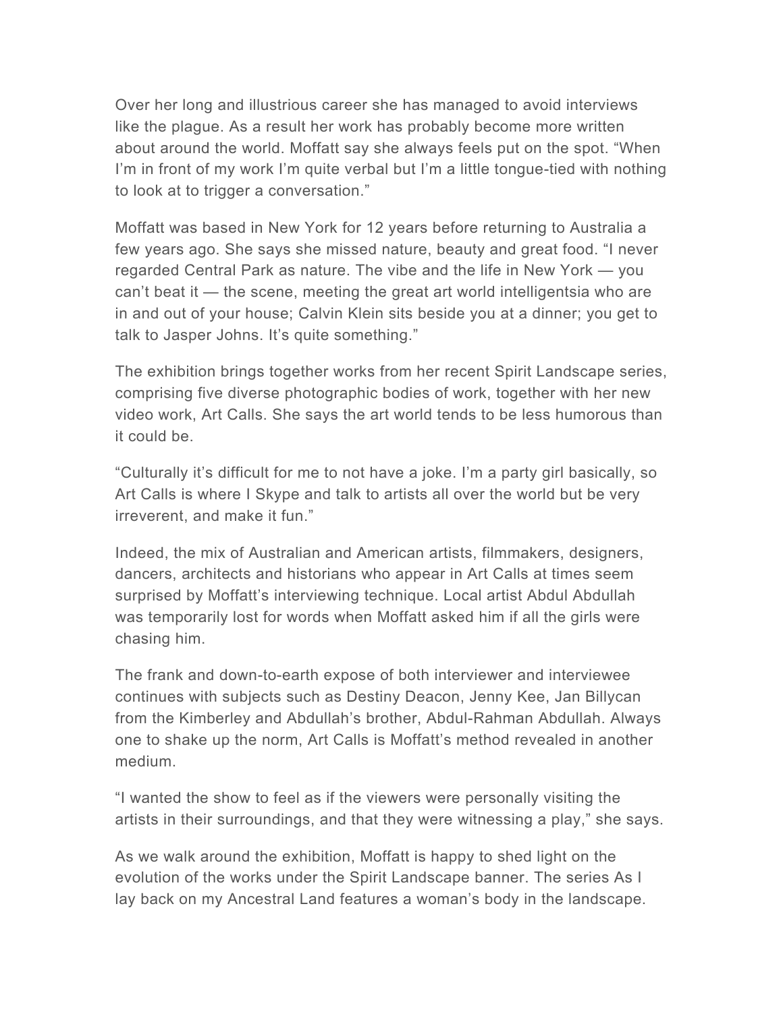Over her long and illustrious career she has managed to avoid interviews like the plague. As a result her work has probably become more written about around the world. Moffatt say she always feels put on the spot. "When I'm in front of my work I'm quite verbal but I'm a little tongue-tied with nothing to look at to trigger a conversation."

Moffatt was based in New York for 12 years before returning to Australia a few years ago. She says she missed nature, beauty and great food. "I never regarded Central Park as nature. The vibe and the life in New York — you can't beat it — the scene, meeting the great art world intelligentsia who are in and out of your house; Calvin Klein sits beside you at a dinner; you get to talk to Jasper Johns. It's quite something."

The exhibition brings together works from her recent Spirit Landscape series, comprising five diverse photographic bodies of work, together with her new video work, Art Calls. She says the art world tends to be less humorous than it could be.

"Culturally it's difficult for me to not have a joke. I'm a party girl basically, so Art Calls is where I Skype and talk to artists all over the world but be very irreverent, and make it fun."

Indeed, the mix of Australian and American artists, filmmakers, designers, dancers, architects and historians who appear in Art Calls at times seem surprised by Moffatt's interviewing technique. Local artist Abdul Abdullah was temporarily lost for words when Moffatt asked him if all the girls were chasing him.

The frank and down-to-earth expose of both interviewer and interviewee continues with subjects such as Destiny Deacon, Jenny Kee, Jan Billycan from the Kimberley and Abdullah's brother, Abdul-Rahman Abdullah. Always one to shake up the norm, Art Calls is Moffatt's method revealed in another medium.

"I wanted the show to feel as if the viewers were personally visiting the artists in their surroundings, and that they were witnessing a play," she says.

As we walk around the exhibition, Moffatt is happy to shed light on the evolution of the works under the Spirit Landscape banner. The series As I lay back on my Ancestral Land features a woman's body in the landscape.